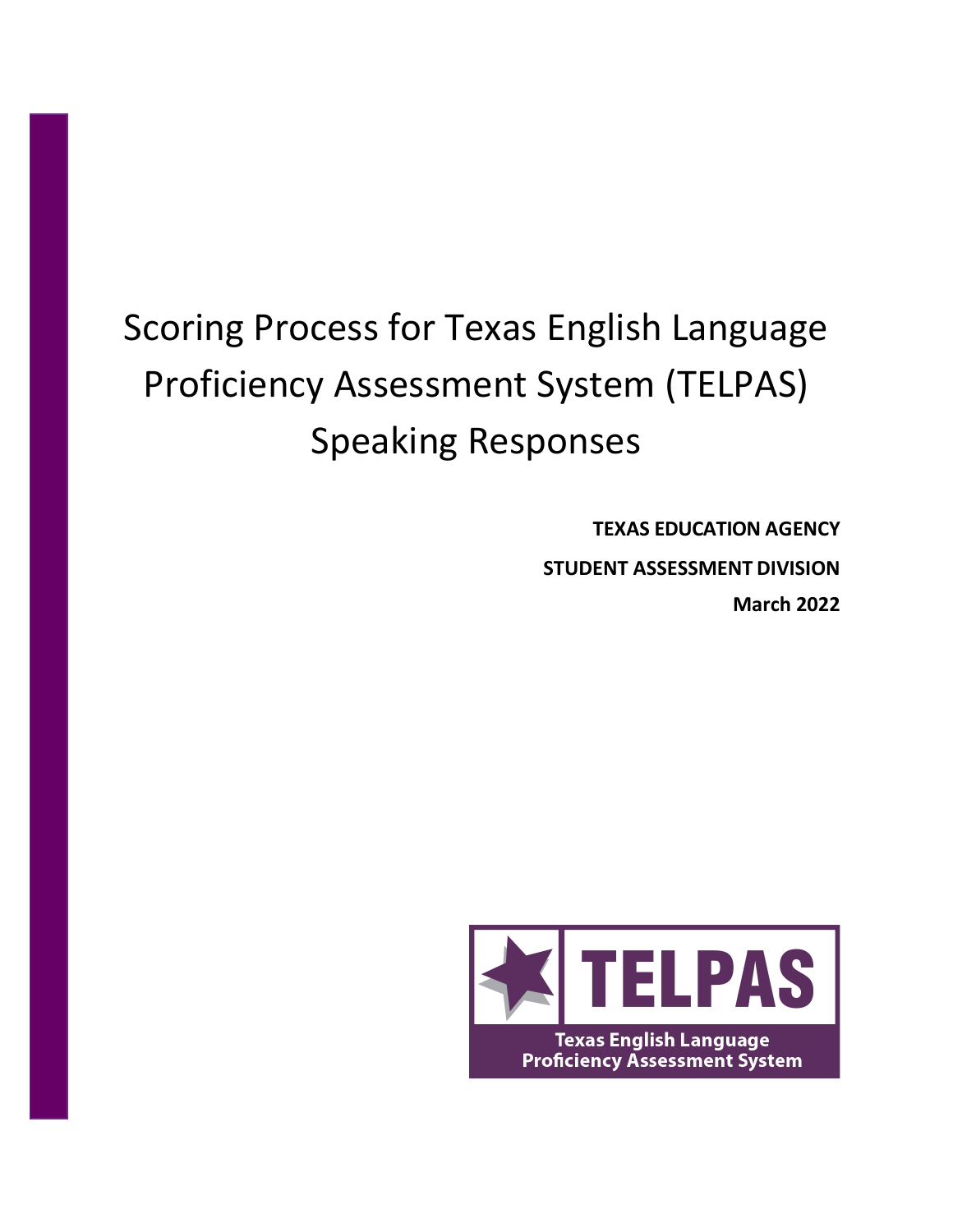# Scoring Process for Texas English Language Proficiency Assessment System (TELPAS) Speaking Responses

**TEXAS EDUCATION AGENCY STUDENT ASSESSMENT DIVISION March 2022**

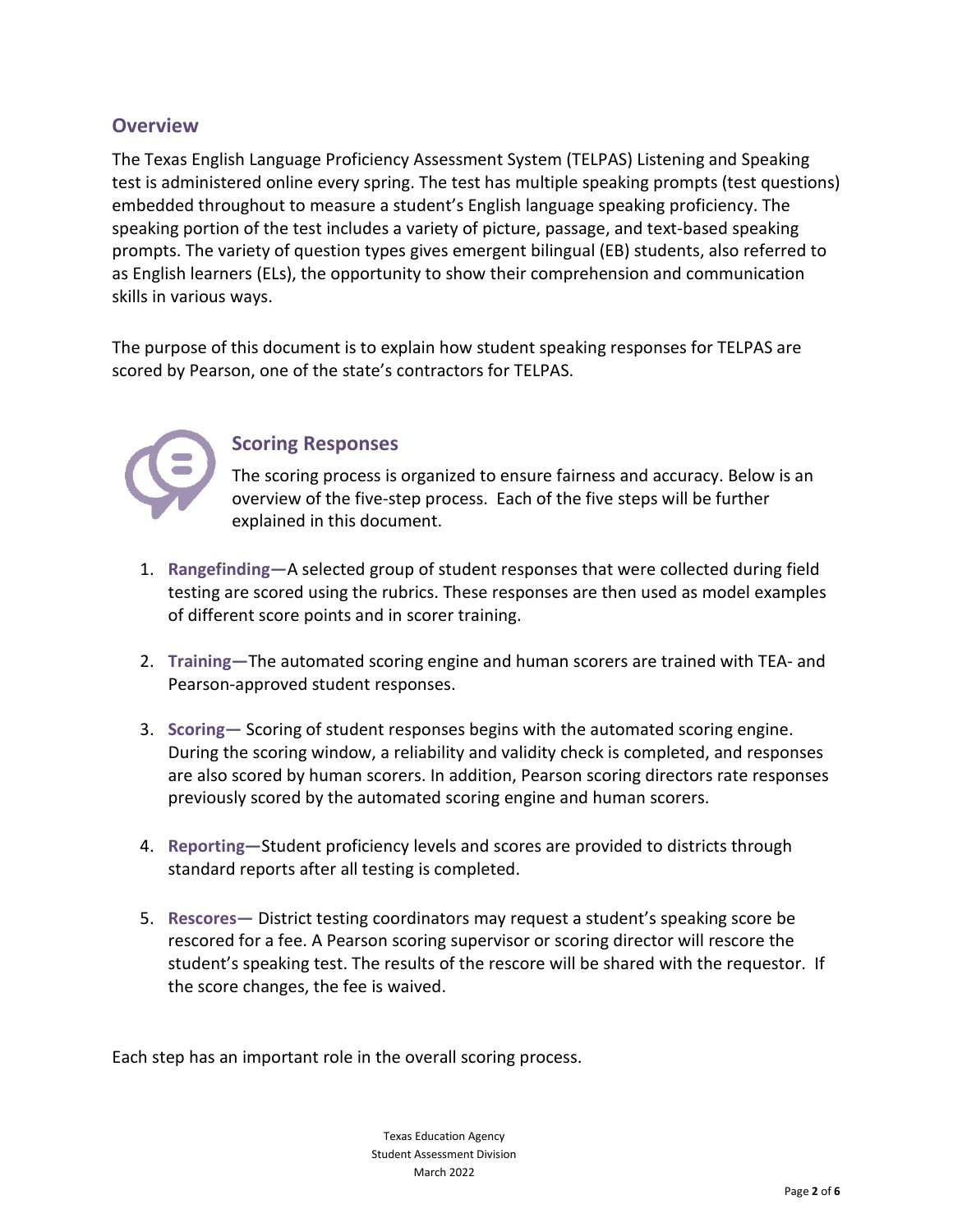## **Overview**

The Texas English Language Proficiency Assessment System (TELPAS) Listening and Speaking test is administered online every spring. The test has multiple speaking prompts (test questions) embedded throughout to measure a student's English language speaking proficiency. The speaking portion of the test includes a variety of picture, passage, and text-based speaking prompts. The variety of question types gives emergent bilingual (EB) students, also referred to as English learners (ELs), the opportunity to show their comprehension and communication skills in various ways.

The purpose of this document is to explain how student speaking responses for TELPAS are scored by Pearson, one of the state's contractors for TELPAS.



### **Scoring Responses**

The scoring process is organized to ensure fairness and accuracy. Below is an overview of the five-step process. Each of the five steps will be further explained in this document.

- 1. **Rangefinding—**A selected group of student responses that were collected during field testing are scored using the rubrics. These responses are then used as model examples of different score points and in scorer training.
- 2. **Training—**The automated scoring engine and human scorers are trained with TEA- and Pearson-approved student responses.
- 3. **Scoring—** Scoring of student responses begins with the automated scoring engine. During the scoring window, a reliability and validity check is completed, and responses are also scored by human scorers. In addition, Pearson scoring directors rate responses previously scored by the automated scoring engine and human scorers.
- 4. **Reporting—**Student proficiency levels and scores are provided to districts through standard reports after all testing is completed.
- 5. **Rescores—** District testing coordinators may request a student's speaking score be rescored for a fee. A Pearson scoring supervisor or scoring director will rescore the student's speaking test. The results of the rescore will be shared with the requestor. If the score changes, the fee is waived.

Each step has an important role in the overall scoring process.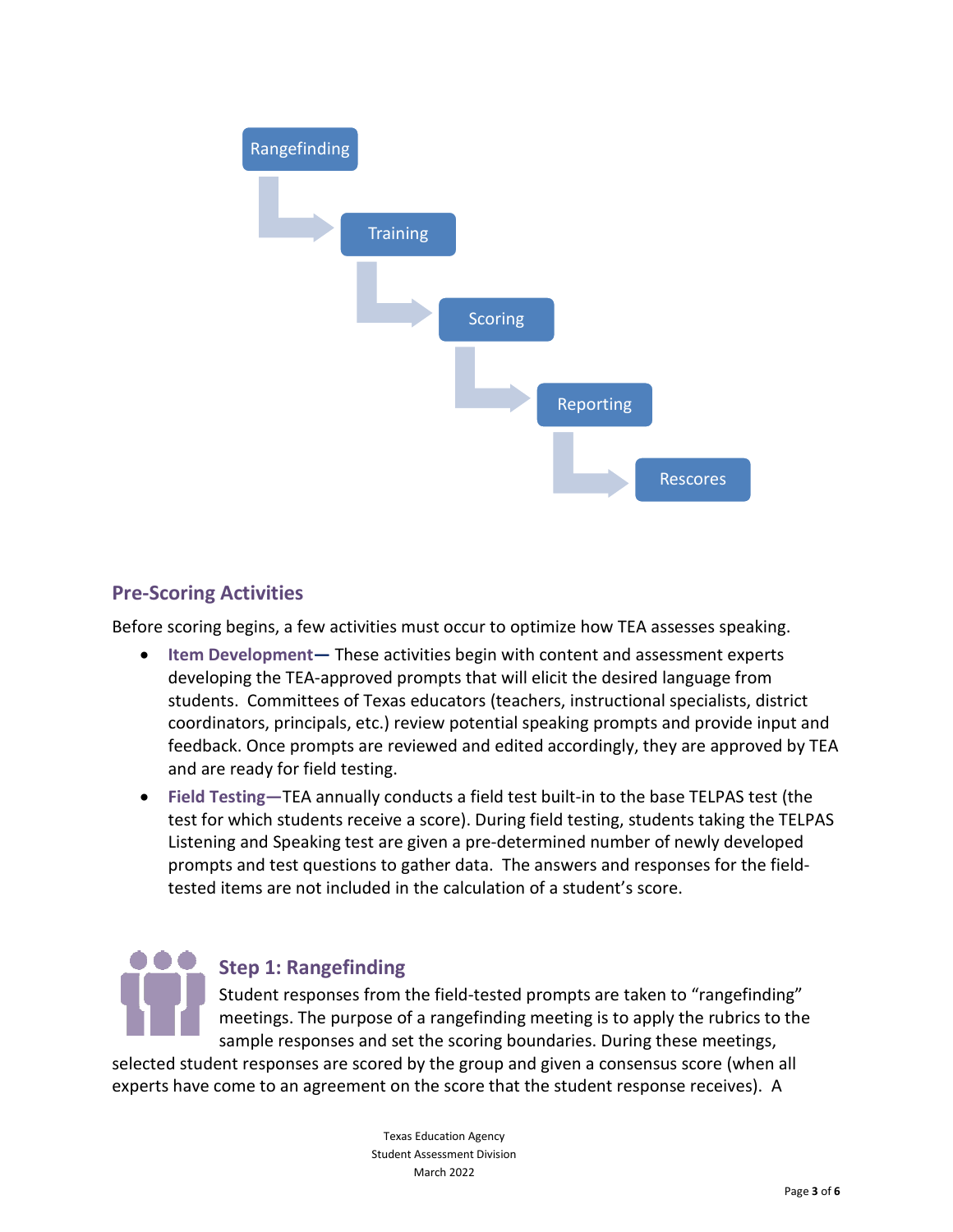

# **Pre-Scoring Activities**

Before scoring begins, a few activities must occur to optimize how TEA assesses speaking.

- **Item Development—** These activities begin with content and assessment experts developing the TEA-approved prompts that will elicit the desired language from students. Committees of Texas educators (teachers, instructional specialists, district coordinators, principals, etc.) review potential speaking prompts and provide input and feedback. Once prompts are reviewed and edited accordingly, they are approved by TEA and are ready for field testing.
- **Field Testing—**TEA annually conducts a field test built-in to the base TELPAS test (the test for which students receive a score). During field testing, students taking the TELPAS Listening and Speaking test are given a pre-determined number of newly developed prompts and test questions to gather data. The answers and responses for the fieldtested items are not included in the calculation of a student's score.



selected student responses are scored by the group and given a consensus score (when all experts have come to an agreement on the score that the student response receives). A

> Texas Education Agency Student Assessment Division March 2022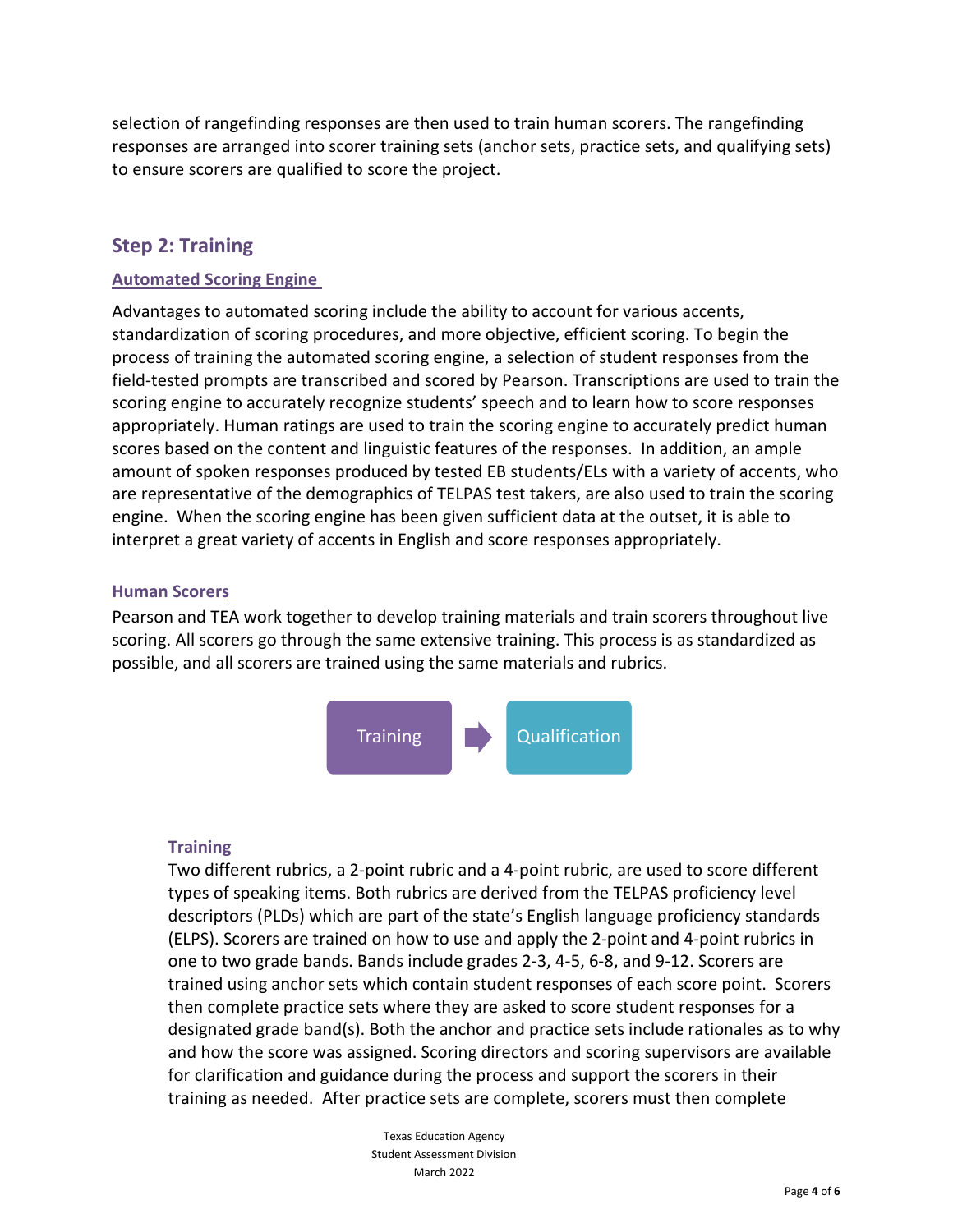selection of rangefinding responses are then used to train human scorers. The rangefinding responses are arranged into scorer training sets (anchor sets, practice sets, and qualifying sets) to ensure scorers are qualified to score the project.

# **Step 2: Training**

#### **Automated Scoring Engine**

Advantages to automated scoring include the ability to account for various accents, standardization of scoring procedures, and more objective, efficient scoring. To begin the process of training the automated scoring engine, a selection of student responses from the field-tested prompts are transcribed and scored by Pearson. Transcriptions are used to train the scoring engine to accurately recognize students' speech and to learn how to score responses appropriately. Human ratings are used to train the scoring engine to accurately predict human scores based on the content and linguistic features of the responses. In addition, an ample amount of spoken responses produced by tested EB students/ELs with a variety of accents, who are representative of the demographics of TELPAS test takers, are also used to train the scoring engine. When the scoring engine has been given sufficient data at the outset, it is able to interpret a great variety of accents in English and score responses appropriately.

#### **Human Scorers**

Pearson and TEA work together to develop training materials and train scorers throughout live scoring. All scorers go through the same extensive training. This process is as standardized as possible, and all scorers are trained using the same materials and rubrics.



### **Training**

Two different rubrics, a 2-point rubric and a 4-point rubric, are used to score different types of speaking items. Both rubrics are derived from the TELPAS proficiency level descriptors (PLDs) which are part of the state's English language proficiency standards (ELPS). Scorers are trained on how to use and apply the 2-point and 4-point rubrics in one to two grade bands. Bands include grades 2-3, 4-5, 6-8, and 9-12. Scorers are trained using anchor sets which contain student responses of each score point. Scorers then complete practice sets where they are asked to score student responses for a designated grade band(s). Both the anchor and practice sets include rationales as to why and how the score was assigned. Scoring directors and scoring supervisors are available for clarification and guidance during the process and support the scorers in their training as needed. After practice sets are complete, scorers must then complete

> Texas Education Agency Student Assessment Division March 2022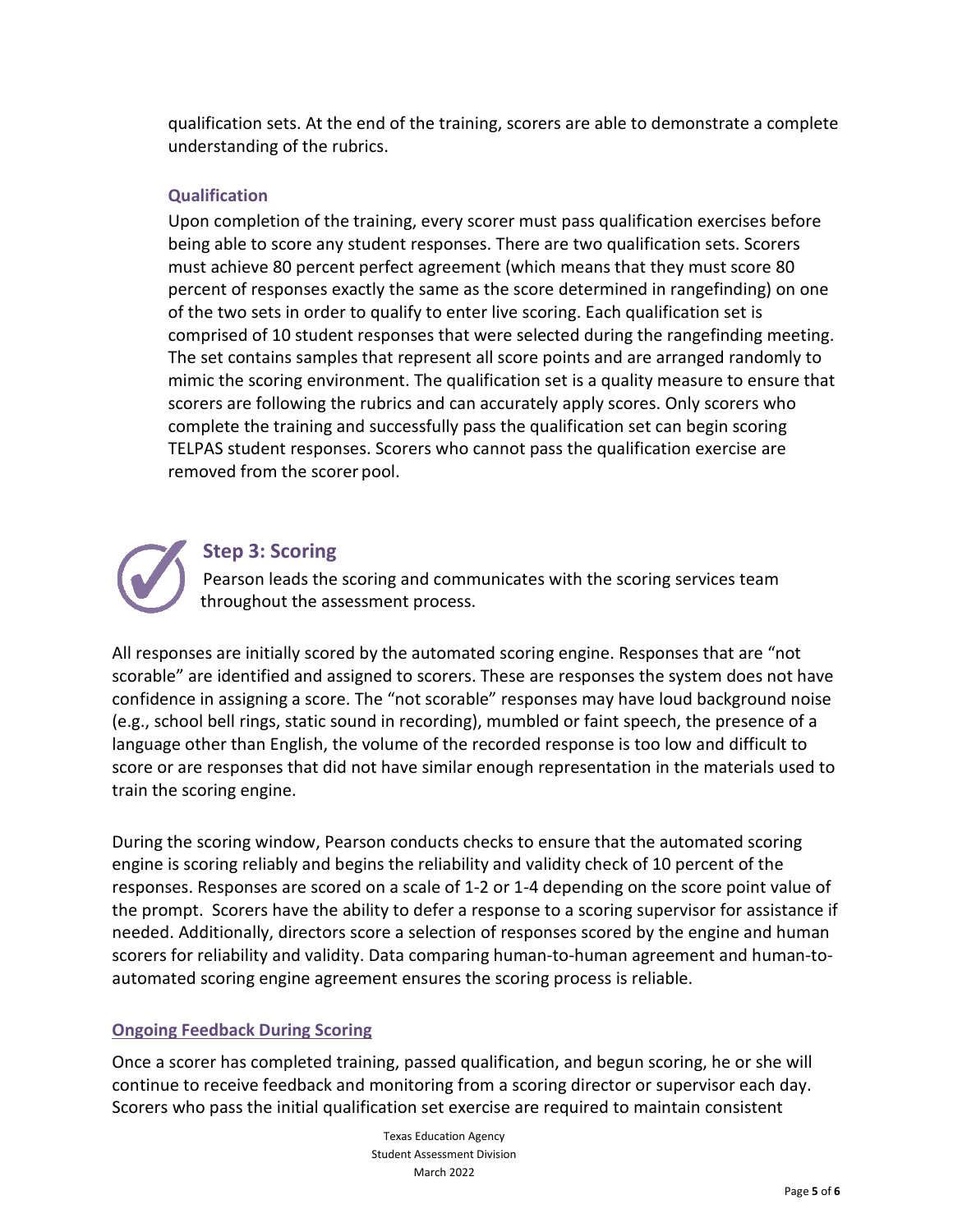qualification sets. At the end of the training, scorers are able to demonstrate a complete understanding of the rubrics.

#### **Qualification**

Upon completion of the training, every scorer must pass qualification exercises before being able to score any student responses. There are two qualification sets. Scorers must achieve 80 percent perfect agreement (which means that they must score 80 percent of responses exactly the same as the score determined in rangefinding) on one of the two sets in order to qualify to enter live scoring. Each qualification set is comprised of 10 student responses that were selected during the rangefinding meeting. The set contains samples that represent all score points and are arranged randomly to mimic the scoring environment. The qualification set is a quality measure to ensure that scorers are following the rubrics and can accurately apply scores. Only scorers who complete the training and successfully pass the qualification set can begin scoring TELPAS student responses. Scorers who cannot pass the qualification exercise are removed from the scorer pool.



## **Step 3: Scoring**

Pearson leads the scoring and communicates with the scoring services team throughout the assessment process.

All responses are initially scored by the automated scoring engine. Responses that are "not scorable" are identified and assigned to scorers. These are responses the system does not have confidence in assigning a score. The "not scorable" responses may have loud background noise (e.g., school bell rings, static sound in recording), mumbled or faint speech, the presence of a language other than English, the volume of the recorded response is too low and difficult to score or are responses that did not have similar enough representation in the materials used to train the scoring engine.

During the scoring window, Pearson conducts checks to ensure that the automated scoring engine is scoring reliably and begins the reliability and validity check of 10 percent of the responses. Responses are scored on a scale of 1-2 or 1-4 depending on the score point value of the prompt.Scorers have the ability to defer a response to a scoring supervisor for assistance if needed. Additionally, directors score a selection of responses scored by the engine and human scorers for reliability and validity. Data comparing human-to-human agreement and human-toautomated scoring engine agreement ensures the scoring process is reliable.

### **Ongoing Feedback During Scoring**

Once a scorer has completed training, passed qualification, and begun scoring, he or she will continue to receive feedback and monitoring from a scoring director or supervisor each day. Scorers who pass the initial qualification set exercise are required to maintain consistent

> Texas Education Agency Student Assessment Division March 2022